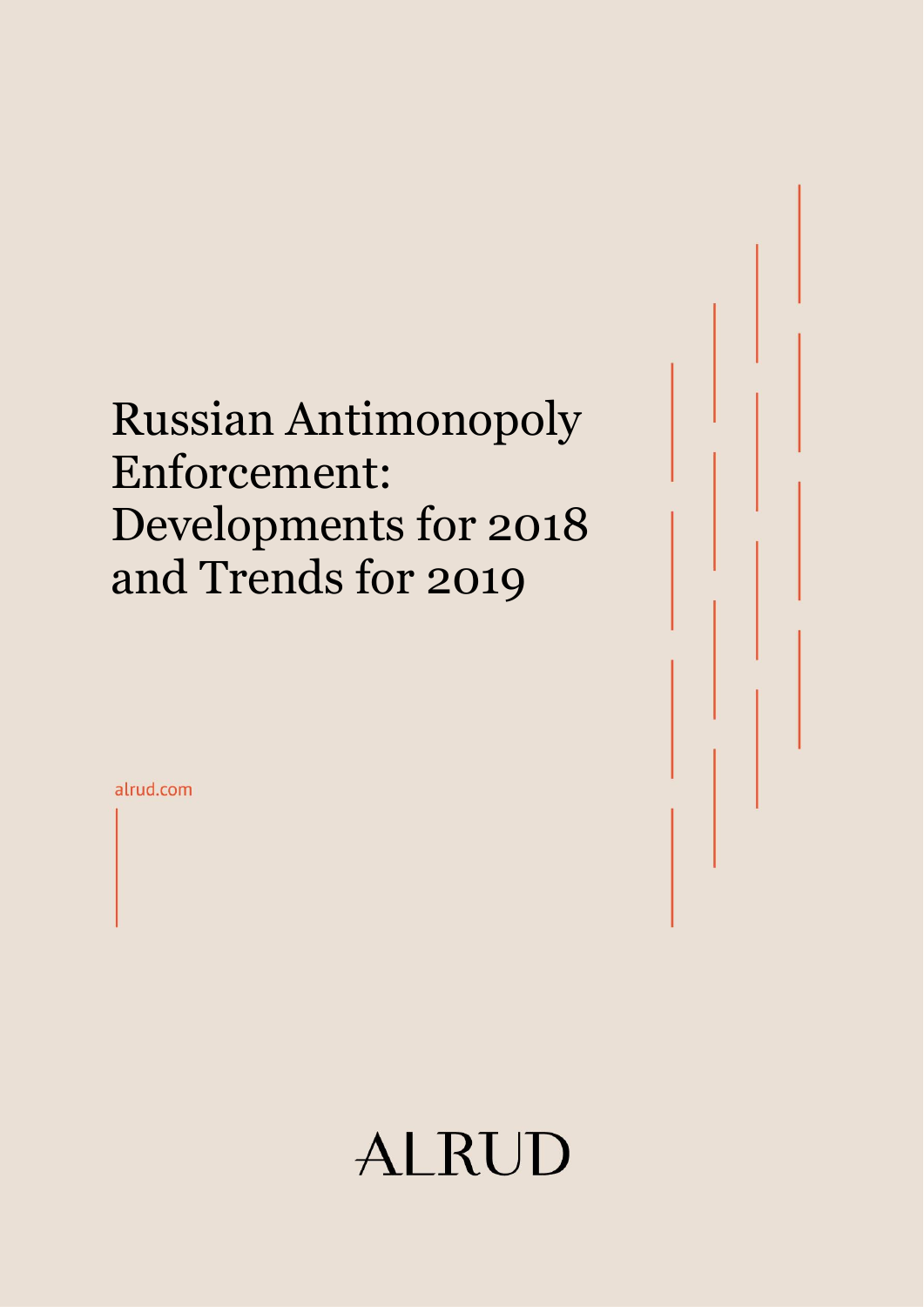## Russian Antimonopoly Enforcement: Developments for 2018 and Trends for 2019

alrud.com

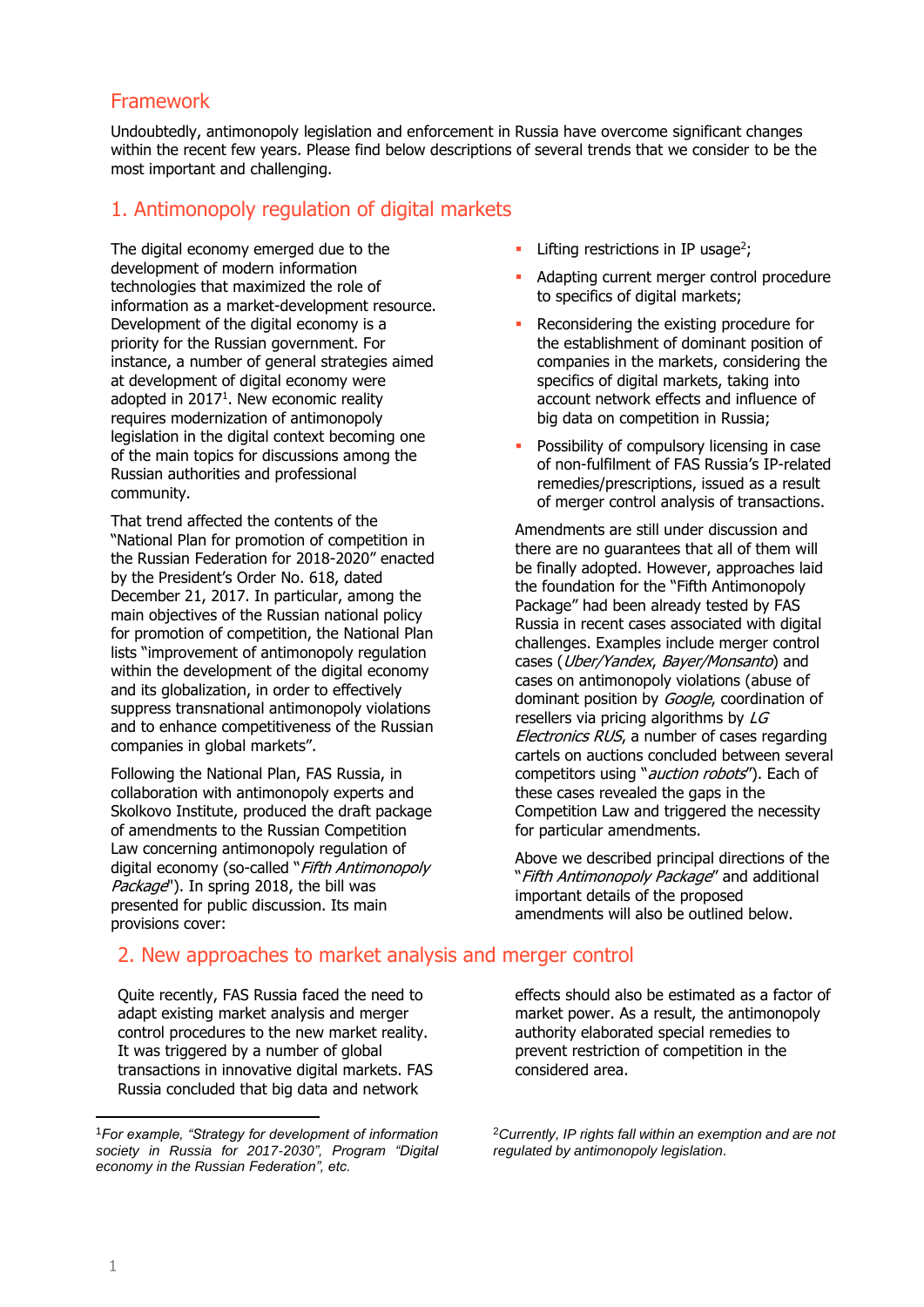### Framework

Undoubtedly, antimonopoly legislation and enforcement in Russia have overcome significant changes within the recent few years. Please find below descriptions of several trends that we consider to be the most important and challenging.

## 1. Antimonopoly regulation of digital markets

The digital economy emerged due to the development of modern information technologies that maximized the role of information as a market-development resource. Development of the digital economy is a priority for the Russian government. For instance, a number of general strategies aimed at development of digital economy were adopted in  $2017<sup>1</sup>$ . New economic reality requires modernization of antimonopoly legislation in the digital context becoming one of the main topics for discussions among the Russian authorities and professional community.

That trend affected the contents of the "National Plan for promotion of competition in the Russian Federation for 2018-2020" enacted by the President's Order No. 618, dated December 21, 2017. In particular, among the main objectives of the Russian national policy for promotion of competition, the National Plan lists "improvement of antimonopoly regulation within the development of the digital economy and its globalization, in order to effectively suppress transnational antimonopoly violations and to enhance competitiveness of the Russian companies in global markets".

Following the National Plan, FAS Russia, in collaboration with antimonopoly experts and Skolkovo Institute, produced the draft package of amendments to the Russian Competition Law concerning antimonopoly regulation of digital economy (so-called "Fifth Antimonopoly Package"). In spring 2018, the bill was presented for public discussion. Its main provisions cover:

- $\blacksquare$  Lifting restrictions in IP usage<sup>2</sup>;
- Adapting current merger control procedure to specifics of digital markets;
- Reconsidering the existing procedure for the establishment of dominant position of companies in the markets, considering the specifics of digital markets, taking into account network effects and influence of big data on competition in Russia;
- Possibility of compulsory licensing in case of non-fulfilment of FAS Russia's IP-related remedies/prescriptions, issued as a result of merger control analysis of transactions.

Amendments are still under discussion and there are no guarantees that all of them will be finally adopted. However, approaches laid the foundation for the "Fifth Antimonopoly Package" had been already tested by FAS Russia in recent cases associated with digital challenges. Examples include merger control cases (Uber/Yandex, Bayer/Monsanto) and cases on antimonopoly violations (abuse of dominant position by Google, coordination of resellers via pricing algorithms by LG Electronics RUS, a number of cases regarding cartels on auctions concluded between several competitors using "*auction robots*"). Each of these cases revealed the gaps in the Competition Law and triggered the necessity for particular amendments.

Above we described principal directions of the "Fifth Antimonopoly Package" and additional important details of the proposed amendments will also be outlined below.

## 2. New approaches to market analysis and merger control

Quite recently, FAS Russia faced the need to adapt existing market analysis and merger control procedures to the new market reality. It was triggered by a number of global transactions in innovative digital markets. FAS Russia concluded that big data and network

effects should also be estimated as a factor of market power. As a result, the antimonopoly authority elaborated special remedies to prevent restriction of competition in the considered area.

 $\overline{a}$ 

<sup>1</sup>*For example, "Strategy for development of information society in Russia for 2017-2030", Program "Digital economy in the Russian Federation", etc.*

<sup>2</sup>*Currently, IP rights fall within an exemption and are not regulated by antimonopoly legislation.*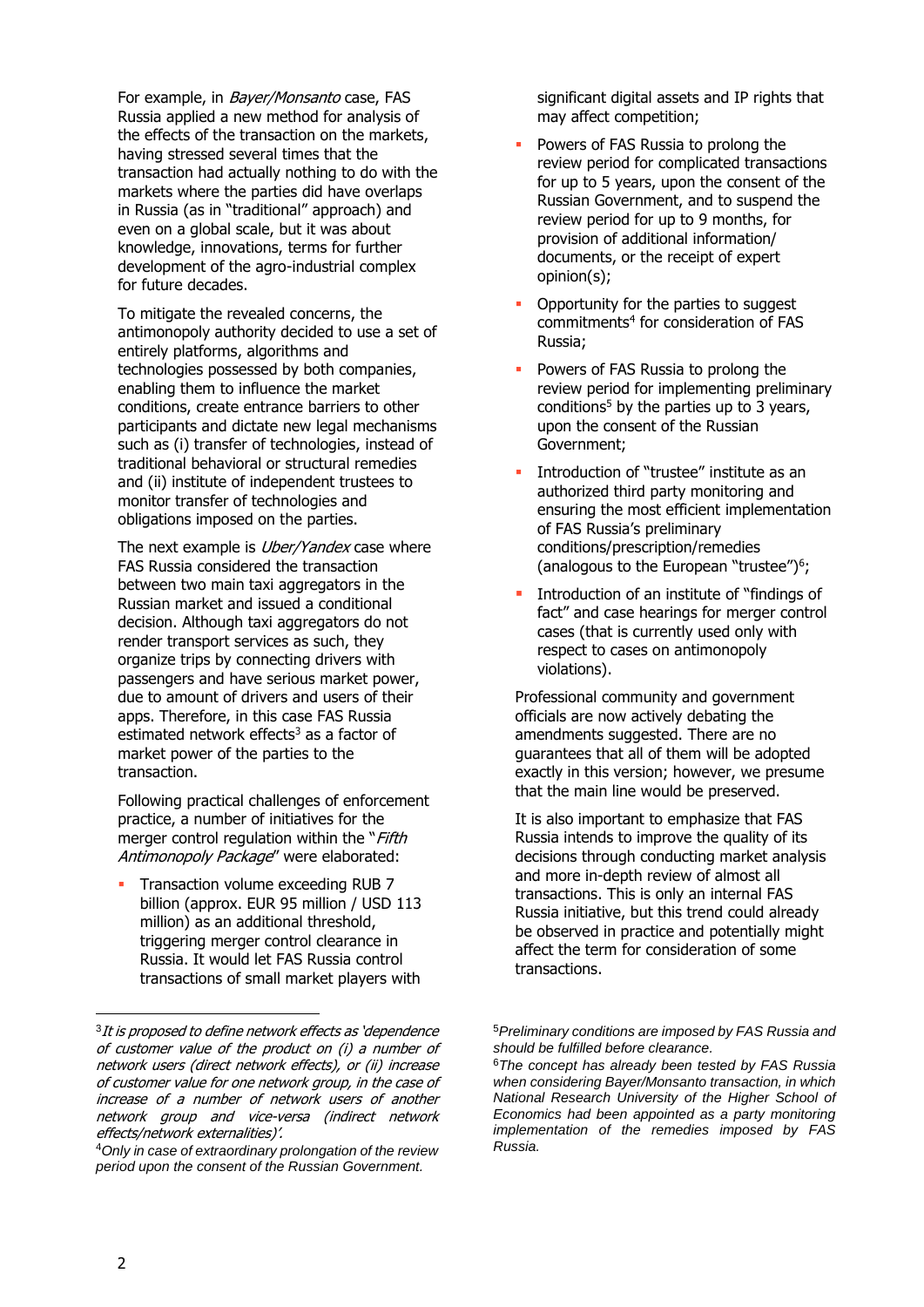For example, in *Bayer/Monsanto* case, FAS Russia applied a new method for analysis of the effects of the transaction on the markets, having stressed several times that the transaction had actually nothing to do with the markets where the parties did have overlaps in Russia (as in "traditional" approach) and even on a global scale, but it was about knowledge, innovations, terms for further development of the agro-industrial complex for future decades.

To mitigate the revealed concerns, the antimonopoly authority decided to use a set of entirely platforms, algorithms and technologies possessed by both companies, enabling them to influence the market conditions, create entrance barriers to other participants and dictate new legal mechanisms such as (i) transfer of technologies, instead of traditional behavioral or structural remedies and (ii) institute of independent trustees to monitor transfer of technologies and obligations imposed on the parties.

The next example is *Uber/Yandex* case where FAS Russia considered the transaction between two main taxi aggregators in the Russian market and issued a conditional decision. Although taxi aggregators do not render transport services as such, they organize trips by connecting drivers with passengers and have serious market power, due to amount of drivers and users of their apps. Therefore, in this case FAS Russia estimated network effects<sup>3</sup> as a factor of market power of the parties to the transaction.

Following practical challenges of enforcement practice, a number of initiatives for the merger control regulation within the "Fifth" Antimonopoly Package" were elaborated:

 Transaction volume exceeding RUB 7 billion (approx. EUR 95 million / USD 113 million) as an additional threshold, triggering merger control clearance in Russia. It would let FAS Russia control transactions of small market players with significant digital assets and IP rights that may affect competition;

- Powers of FAS Russia to prolong the review period for complicated transactions for up to 5 years, upon the consent of the Russian Government, and to suspend the review period for up to 9 months, for provision of additional information/ documents, or the receipt of expert opinion(s);
- Opportunity for the parties to suggest commitments<sup>4</sup> for consideration of FAS Russia;
- Powers of FAS Russia to prolong the review period for implementing preliminary conditions<sup>5</sup> by the parties up to 3 years, upon the consent of the Russian Government;
- Introduction of "trustee" institute as an authorized third party monitoring and ensuring the most efficient implementation of FAS Russia's preliminary conditions/prescription/remedies (analogous to the European "trustee")<sup>6</sup>;
- Introduction of an institute of "findings of fact" and case hearings for merger control cases (that is currently used only with respect to cases on antimonopoly violations).

Professional community and government officials are now actively debating the amendments suggested. There are no guarantees that all of them will be adopted exactly in this version; however, we presume that the main line would be preserved.

It is also important to emphasize that FAS Russia intends to improve the quality of its decisions through conducting market analysis and more in-depth review of almost all transactions. This is only an internal FAS Russia initiative, but this trend could already be observed in practice and potentially might affect the term for consideration of some transactions.

 $\overline{a}$ 

<sup>&</sup>lt;sup>3</sup>It is proposed to define network effects as 'dependence' of customer value of the product on (i) a number of network users (direct network effects), or (ii) increase of customer value for one network group, in the case of increase of a number of network users of another network group and vice-versa (indirect network effects/network externalities)'.

<sup>4</sup>*Only in case of extraordinary prolongation of the review period upon the consent of the Russian Government.*

<sup>5</sup>*Preliminary conditions are imposed by FAS Russia and should be fulfilled before clearance.*

<sup>6</sup>*The concept has already been tested by FAS Russia when considering Bayer/Monsanto transaction, in which National Research University of the Higher School of Economics had been appointed as a party monitoring implementation of the remedies imposed by FAS Russia.*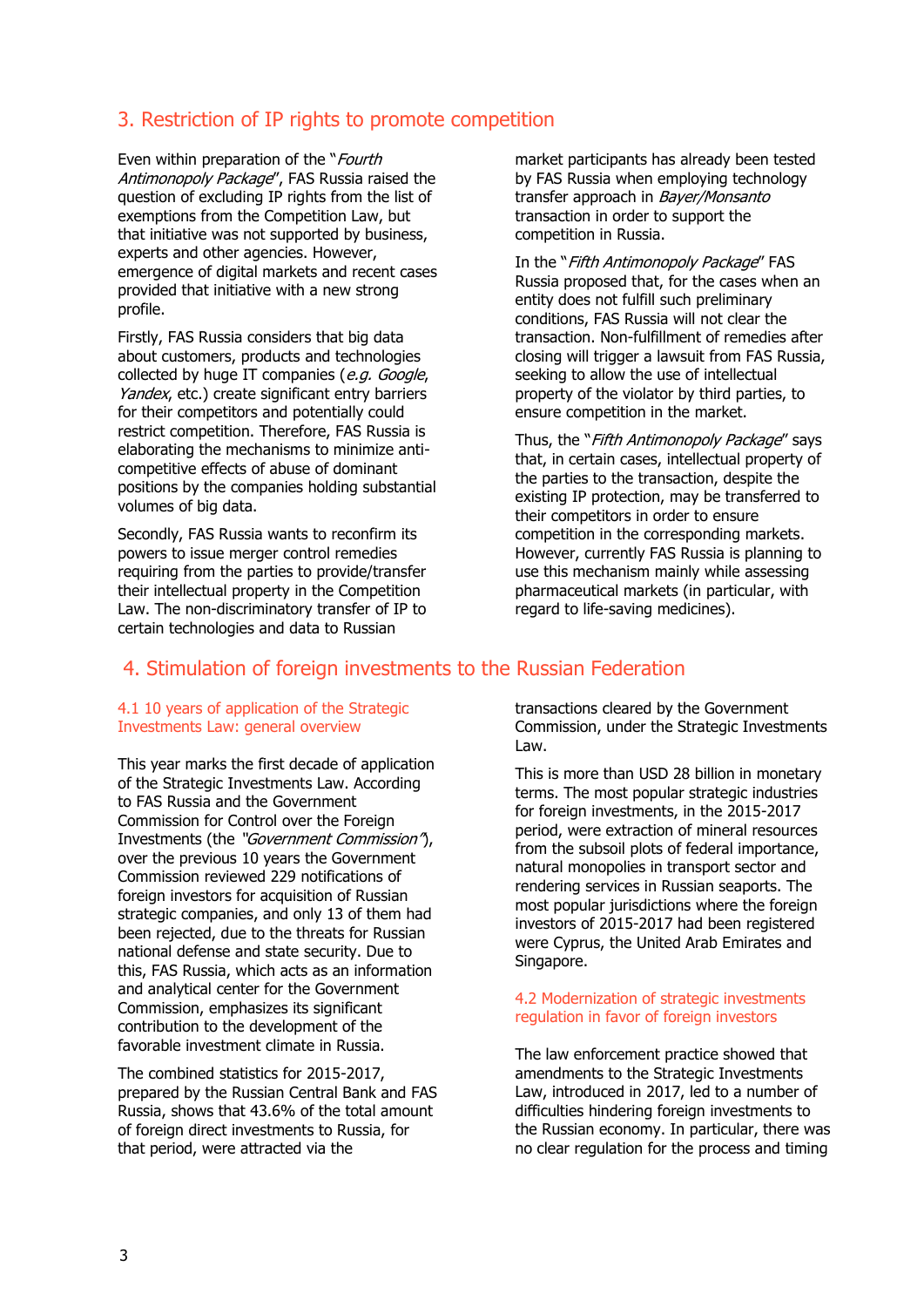## 3. Restriction of IP rights to promote competition

Even within preparation of the "Fourth" Antimonopoly Package", FAS Russia raised the question of excluding IP rights from the list of exemptions from the Competition Law, but that initiative was not supported by business, experts and other agencies. However, emergence of digital markets and recent cases provided that initiative with a new strong profile.

Firstly, FAS Russia considers that big data about customers, products and technologies collected by huge IT companies (e.g. Google, Yandex, etc.) create significant entry barriers for their competitors and potentially could restrict competition. Therefore, FAS Russia is elaborating the mechanisms to minimize anticompetitive effects of abuse of dominant positions by the companies holding substantial volumes of big data.

Secondly, FAS Russia wants to reconfirm its powers to issue merger control remedies requiring from the parties to provide/transfer their intellectual property in the Competition Law. The non-discriminatory transfer of IP to certain technologies and data to Russian

market participants has already been tested by FAS Russia when employing technology transfer approach in Bayer/Monsanto transaction in order to support the competition in Russia.

In the "Fifth Antimonopoly Package" FAS Russia proposed that, for the cases when an entity does not fulfill such preliminary conditions, FAS Russia will not clear the transaction. Non-fulfillment of remedies after closing will trigger a lawsuit from FAS Russia, seeking to allow the use of intellectual property of the violator by third parties, to ensure competition in the market.

Thus, the "*Fifth Antimonopoly Package*" says that, in certain cases, intellectual property of the parties to the transaction, despite the existing IP protection, may be transferred to their competitors in order to ensure competition in the corresponding markets. However, currently FAS Russia is planning to use this mechanism mainly while assessing pharmaceutical markets (in particular, with regard to life-saving medicines).

## 4. Stimulation of foreign investments to the Russian Federation

#### 4.1 10 years of application of the Strategic Investments Law: general overview

This year marks the first decade of application of the Strategic Investments Law. According to FAS Russia and the Government Commission for Control over the Foreign Investments (the "Government Commission"), over the previous 10 years the Government Commission reviewed 229 notifications of foreign investors for acquisition of Russian strategic companies, and only 13 of them had been rejected, due to the threats for Russian national defense and state security. Due to this, FAS Russia, which acts as an information and analytical center for the Government Commission, emphasizes its significant contribution to the development of the favorable investment climate in Russia.

The combined statistics for 2015-2017, prepared by the Russian Central Bank and FAS Russia, shows that 43.6% of the total amount of foreign direct investments to Russia, for that period, were attracted via the

transactions cleared by the Government Commission, under the Strategic Investments Law.

This is more than USD 28 billion in monetary terms. The most popular strategic industries for foreign investments, in the 2015-2017 period, were extraction of mineral resources from the subsoil plots of federal importance, natural monopolies in transport sector and rendering services in Russian seaports. The most popular jurisdictions where the foreign investors of 2015-2017 had been registered were Cyprus, the United Arab Emirates and Singapore.

#### 4.2 Modernization of strategic investments regulation in favor of foreign investors

The law enforcement practice showed that amendments to the Strategic Investments Law, introduced in 2017, led to a number of difficulties hindering foreign investments to the Russian economy. In particular, there was no clear regulation for the process and timing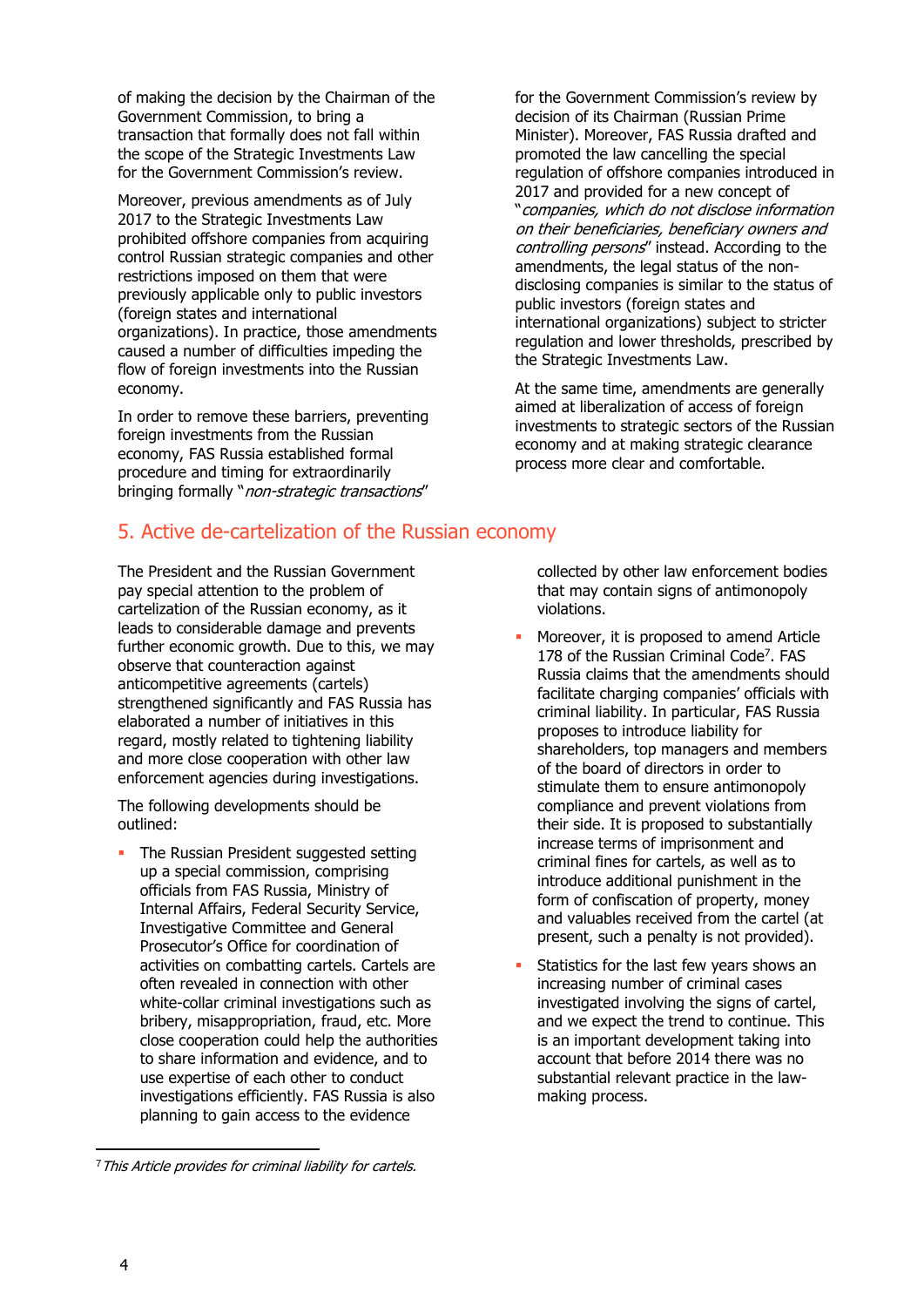of making the decision by the Chairman of the Government Commission, to bring a transaction that formally does not fall within the scope of the Strategic Investments Law for the Government Commission's review.

Moreover, previous amendments as of July 2017 to the Strategic Investments Law prohibited offshore companies from acquiring control Russian strategic companies and other restrictions imposed on them that were previously applicable only to public investors (foreign states and international organizations). In practice, those amendments caused a number of difficulties impeding the flow of foreign investments into the Russian economy.

In order to remove these barriers, preventing foreign investments from the Russian economy, FAS Russia established formal procedure and timing for extraordinarily bringing formally "*non-strategic transactions*"

## 5. Active de-cartelization of the Russian economy

The President and the Russian Government pay special attention to the problem of cartelization of the Russian economy, as it leads to considerable damage and prevents further economic growth. Due to this, we may observe that counteraction against anticompetitive agreements (cartels) strengthened significantly and FAS Russia has elaborated a number of initiatives in this regard, mostly related to tightening liability and more close cooperation with other law enforcement agencies during investigations.

The following developments should be outlined:

 The Russian President suggested setting up a special commission, comprising officials from FAS Russia, Ministry of Internal Affairs, Federal Security Service, Investigative Committee and General Prosecutor's Office for coordination of activities on combatting cartels. Cartels are often revealed in connection with other white-collar criminal investigations such as bribery, misappropriation, fraud, etc. More close cooperation could help the authorities to share information and evidence, and to use expertise of each other to conduct investigations efficiently. FAS Russia is also planning to gain access to the evidence

for the Government Commission's review by decision of its Chairman (Russian Prime Minister). Moreover, FAS Russia drafted and promoted the law cancelling the special regulation of offshore companies introduced in 2017 and provided for a new concept of "companies, which do not disclose information on their beneficiaries, beneficiary owners and controlling persons" instead. According to the amendments, the legal status of the nondisclosing companies is similar to the status of public investors (foreign states and international organizations) subject to stricter regulation and lower thresholds, prescribed by the Strategic Investments Law.

At the same time, amendments are generally aimed at liberalization of access of foreign investments to strategic sectors of the Russian economy and at making strategic clearance process more clear and comfortable.

collected by other law enforcement bodies that may contain signs of antimonopoly violations.

- Moreover, it is proposed to amend Article 178 of the Russian Criminal Code<sup>7</sup>. FAS Russia claims that the amendments should facilitate charging companies' officials with criminal liability. In particular, FAS Russia proposes to introduce liability for shareholders, top managers and members of the board of directors in order to stimulate them to ensure antimonopoly compliance and prevent violations from their side. It is proposed to substantially increase terms of imprisonment and criminal fines for cartels, as well as to introduce additional punishment in the form of confiscation of property, money and valuables received from the cartel (at present, such a penalty is not provided).
- Statistics for the last few years shows an increasing number of criminal cases investigated involving the signs of cartel, and we expect the trend to continue. This is an important development taking into account that before 2014 there was no substantial relevant practice in the lawmaking process.

<sup>&</sup>lt;sup>7</sup> This Article provides for criminal liability for cartels.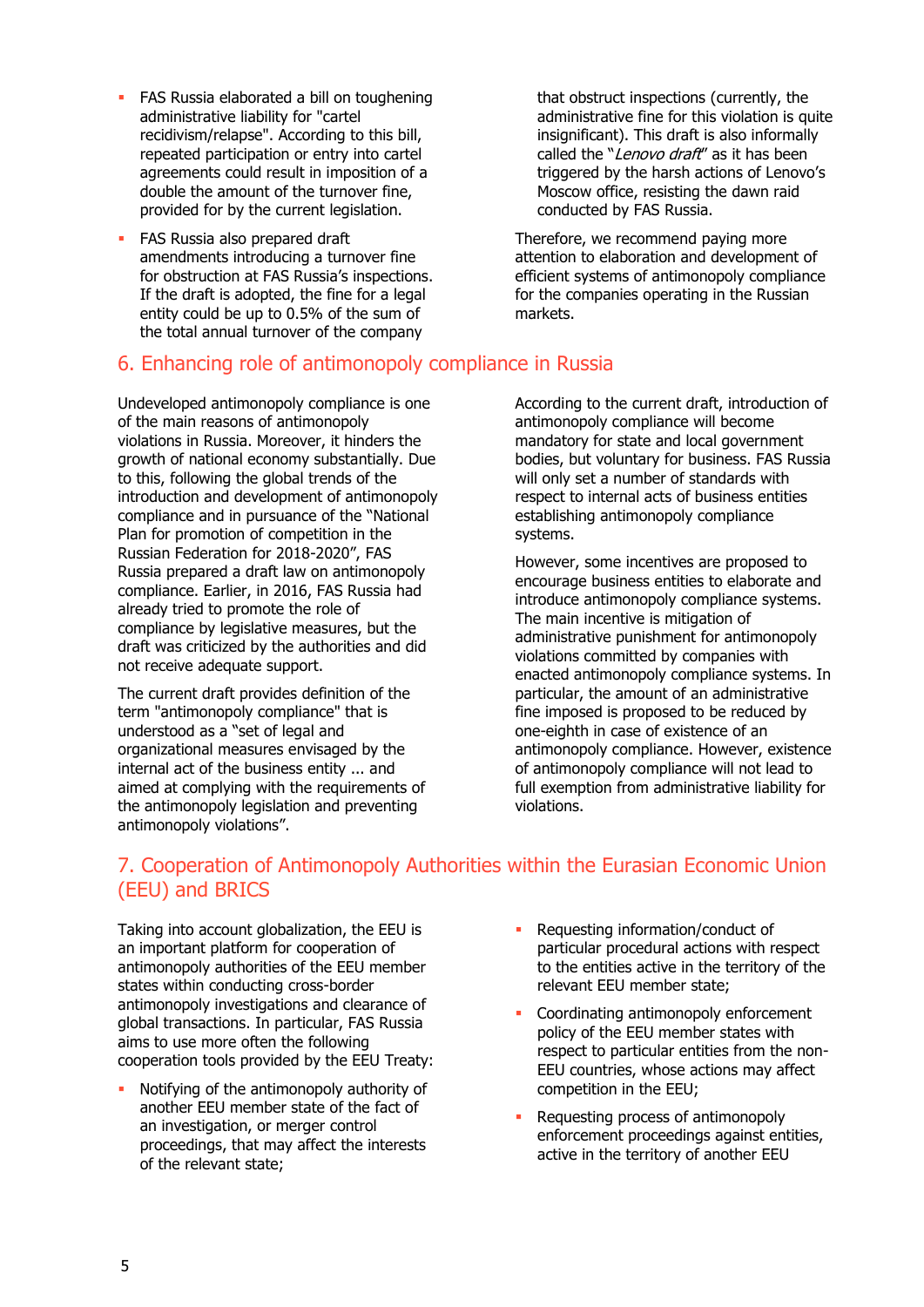- **FAS Russia elaborated a bill on toughening** administrative liability for "cartel recidivism/relapse". According to this bill, repeated participation or entry into cartel agreements could result in imposition of a double the amount of the turnover fine, provided for by the current legislation.
- FAS Russia also prepared draft amendments introducing a turnover fine for obstruction at FAS Russia's inspections. If the draft is adopted, the fine for a legal entity could be up to 0.5% of the sum of the total annual turnover of the company

### 6. Enhancing role of antimonopoly compliance in Russia

Undeveloped antimonopoly compliance is one of the main reasons of antimonopoly violations in Russia. Moreover, it hinders the growth of national economy substantially. Due to this, following the global trends of the introduction and development of antimonopoly compliance and in pursuance of the "National Plan for promotion of competition in the Russian Federation for 2018-2020", FAS Russia prepared a draft law on antimonopoly compliance. Earlier, in 2016, FAS Russia had already tried to promote the role of compliance by legislative measures, but the draft was criticized by the authorities and did not receive adequate support.

The current draft provides definition of the term "antimonopoly compliance" that is understood as a "set of legal and organizational measures envisaged by the internal act of the business entity ... and aimed at complying with the requirements of the antimonopoly legislation and preventing antimonopoly violations".

that obstruct inspections (currently, the administrative fine for this violation is quite insignificant). This draft is also informally called the "Lenovo draft" as it has been triggered by the harsh actions of Lenovo's Moscow office, resisting the dawn raid conducted by FAS Russia.

Therefore, we recommend paying more attention to elaboration and development of efficient systems of antimonopoly compliance for the companies operating in the Russian markets.

According to the current draft, introduction of antimonopoly compliance will become mandatory for state and local government bodies, but voluntary for business. FAS Russia will only set a number of standards with respect to internal acts of business entities establishing antimonopoly compliance systems.

However, some incentives are proposed to encourage business entities to elaborate and introduce antimonopoly compliance systems. The main incentive is mitigation of administrative punishment for antimonopoly violations committed by companies with enacted antimonopoly compliance systems. In particular, the amount of an administrative fine imposed is proposed to be reduced by one-eighth in case of existence of an antimonopoly compliance. However, existence of antimonopoly compliance will not lead to full exemption from administrative liability for violations.

## 7. Cooperation of Antimonopoly Authorities within the Eurasian Economic Union (EEU) and BRICS

Taking into account globalization, the EEU is an important platform for cooperation of antimonopoly authorities of the EEU member states within conducting cross-border antimonopoly investigations and clearance of global transactions. In particular, FAS Russia aims to use more often the following cooperation tools provided by the EEU Treaty:

- Notifying of the antimonopoly authority of another EEU member state of the fact of an investigation, or merger control proceedings, that may affect the interests of the relevant state;
- Requesting information/conduct of particular procedural actions with respect to the entities active in the territory of the relevant EEU member state;
- Coordinating antimonopoly enforcement policy of the EEU member states with respect to particular entities from the non-EEU countries, whose actions may affect competition in the EEU;
- Requesting process of antimonopoly enforcement proceedings against entities, active in the territory of another EEU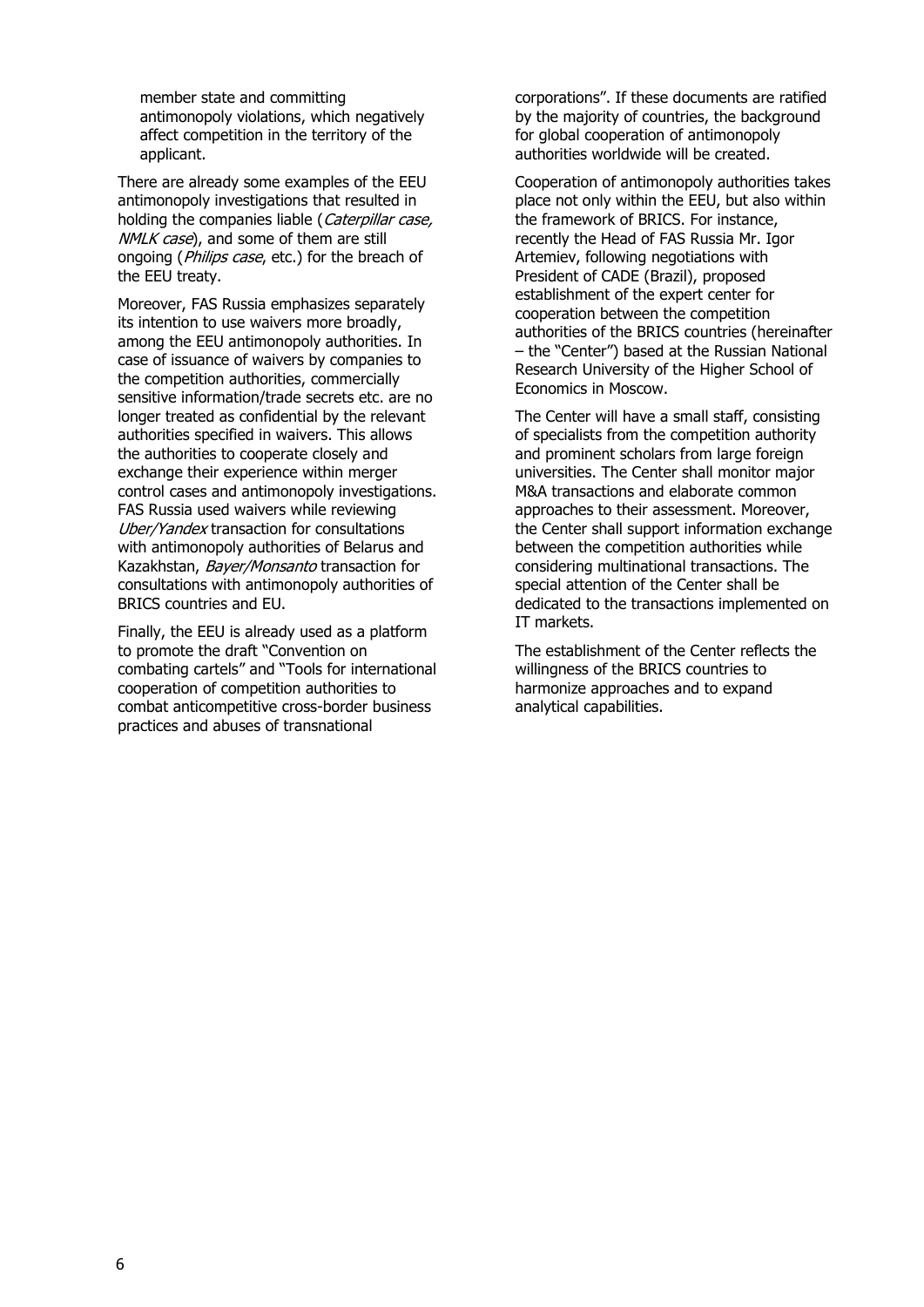member state and committing antimonopoly violations, which negatively affect competition in the territory of the applicant.

There are already some examples of the EEU antimonopoly investigations that resulted in holding the companies liable (Caterpillar case, NMLK case), and some of them are still ongoing (*Philips case*, etc.) for the breach of the EEU treaty.

Moreover, FAS Russia emphasizes separately its intention to use waivers more broadly, among the EEU antimonopoly authorities. In case of issuance of waivers by companies to the competition authorities, commercially sensitive information/trade secrets etc. are no longer treated as confidential by the relevant authorities specified in waivers. This allows the authorities to cooperate closely and exchange their experience within merger control cases and antimonopoly investigations. FAS Russia used waivers while reviewing Uber/Yandex transaction for consultations with antimonopoly authorities of Belarus and Kazakhstan, Bayer/Monsanto transaction for consultations with antimonopoly authorities of BRICS countries and EU.

Finally, the EEU is already used as a platform to promote the draft "Convention on combating cartels" and "Tools for international cooperation of competition authorities to combat anticompetitive cross-border business practices and abuses of transnational

corporations". If these documents are ratified by the majority of countries, the background for global cooperation of antimonopoly authorities worldwide will be created.

Cooperation of antimonopoly authorities takes place not only within the EEU, but also within the framework of BRICS. For instance, recently the Head of FAS Russia Mr. Igor Artemiev, following negotiations with President of CADE (Brazil), proposed establishment of the expert center for cooperation between the competition authorities of the BRICS countries (hereinafter – the "Center") based at the Russian National Research University of the Higher School of Economics in Moscow.

The Center will have a small staff, consisting of specialists from the competition authority and prominent scholars from large foreign universities. The Center shall monitor major M&A transactions and elaborate common approaches to their assessment. Moreover, the Center shall support information exchange between the competition authorities while considering multinational transactions. The special attention of the Center shall be dedicated to the transactions implemented on IT markets.

The establishment of the Center reflects the willingness of the BRICS countries to harmonize approaches and to expand analytical capabilities.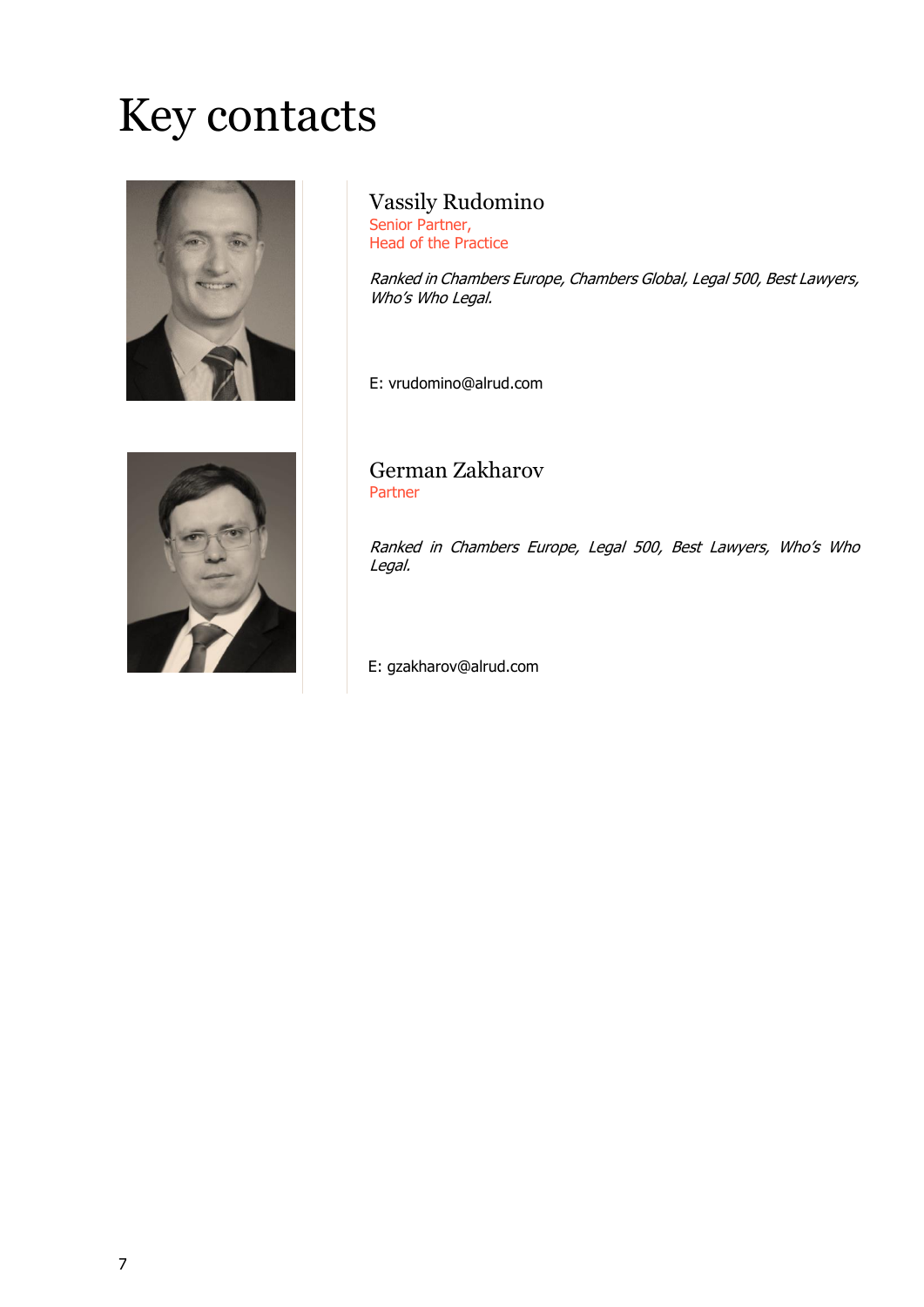## Key contacts



Vassily Rudomino

Senior Partner, Head of the Practice

Ranked in Chambers Europe, Chambers Global, Legal 500, Best Lawyers, Who's Who Legal.

E: vrudomino@alrud.com



German Zakharov Partner

Ranked in Chambers Europe, Legal 500, Best Lawyers, Who's Who Legal.

E: gzakharov@alrud.com